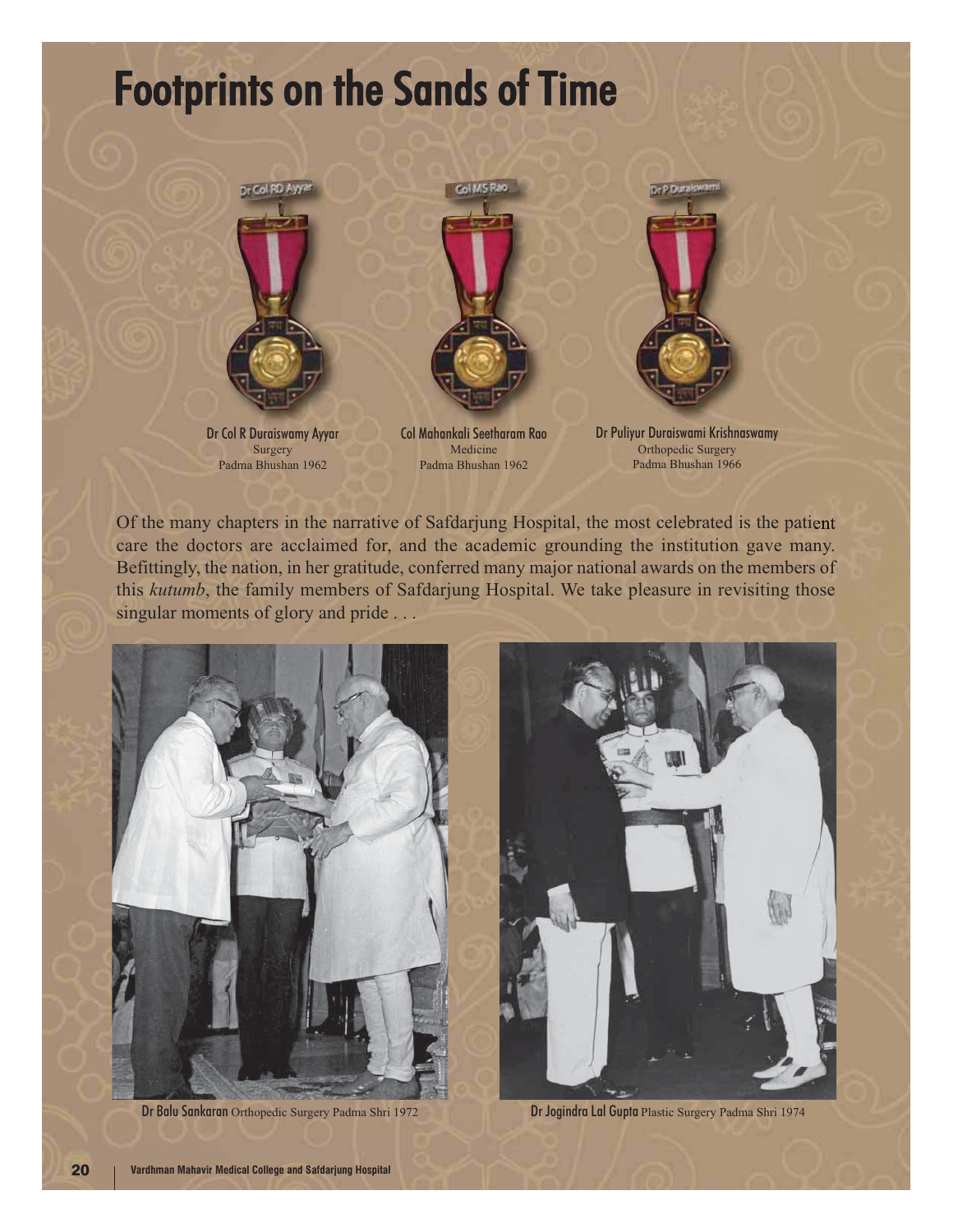## **Footprints on the Sands of Time**



Dr Col R Duraiswamy Ayyar Surgery Padma Bhushan 1962



Col Mahankali Seetharam Rao Medicine Padma Bhushan 1962



Dr Puliyur Duraiswami Krishnaswamy Orthopedic Surgery Padma Bhushan 1966

Of the many chapters in the narrative of Safdarjung Hospital, the most celebrated is the patient care the doctors are acclaimed for, and the academic grounding the institution gave many. Befittingly, the nation, in her gratitude, conferred many major national awards on the members of this *kutumb*, the family members of Safdarjung Hospital. We take pleasure in revisiting those singular moments of glory and pride ...



Dr Balu Sankaran Orthopedic Surgery Padma Shri 1972 Dr Jogindra Lal Gupta Plastic Surgery Padma Shri 1974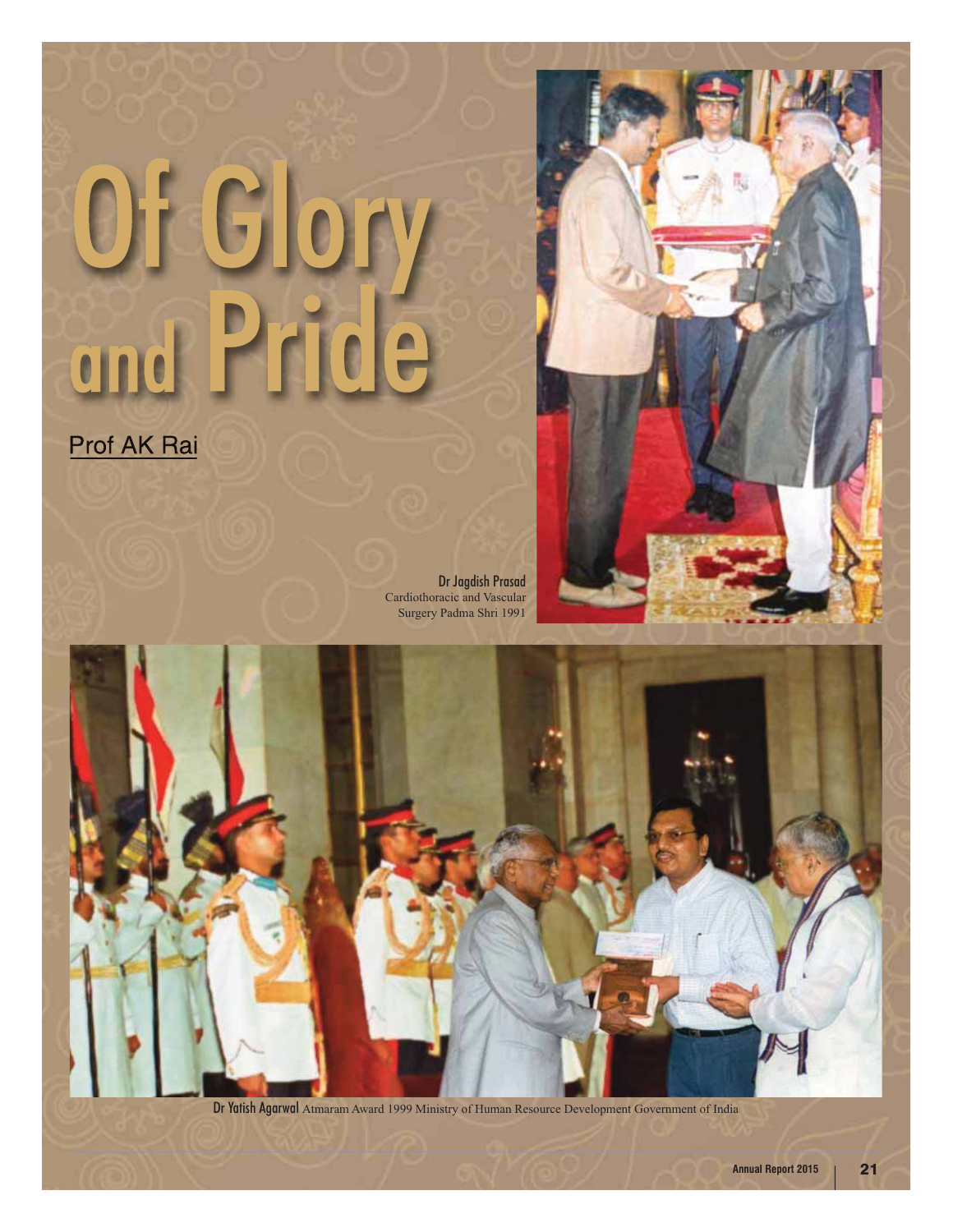## G UJT

Prof AK Rai

Dr Jagdish Prasad Cardiothoracic and Vascular Surgery Padma Shri 1991





Dr Yatish Agarwal Atmaram Award 1999 Ministry of Human Resource Development Government of India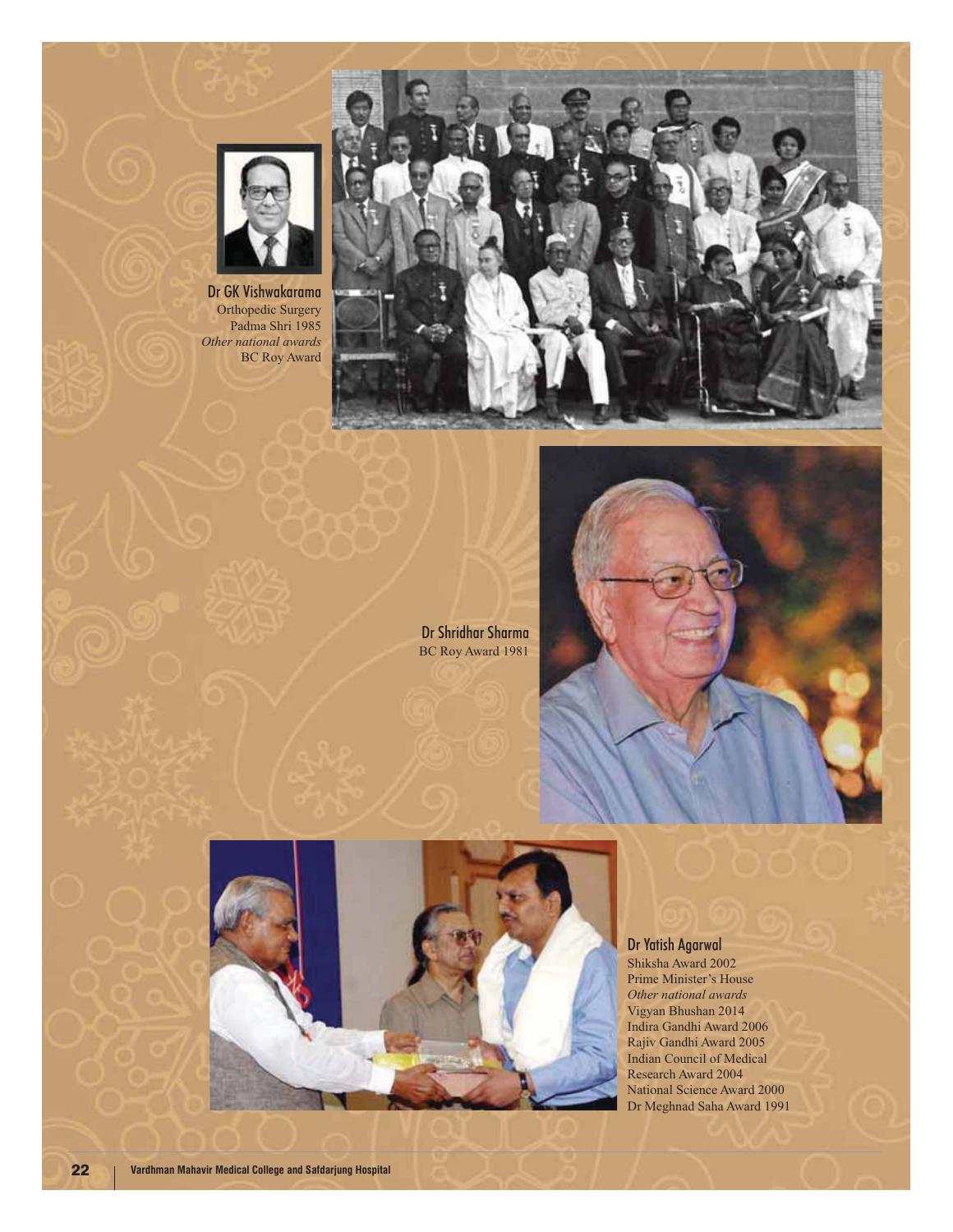

Dr GK Vishwakarama Orthopedic Surgery Padma Shri 1985 *Other national awards* BC Roy Award



Dr Shridhar Sharma BC Roy Award 1981





Dr Yatish Agarwal Shiksha Award 2002 Prime Minister's House *Other national awards* Vigyan Bhushan 2014 Indira Gandhi Award 2006

Rajiv Gandhi Award 2005 Indian Council of Medical Research Award 2004 National Science Award 2000 Dr Meghnad Saha Award 1991